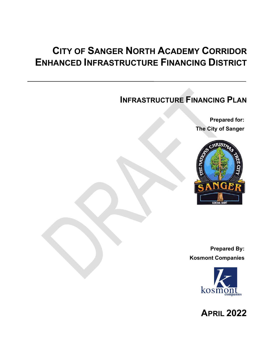### **CITY OF SANGER NORTH ACADEMY CORRIDOR ENHANCED INFRASTRUCTURE FINANCING DISTRICT**

### **INFRASTRUCTURE FINANCING PLAN**

**Prepared for: The City of Sanger**



**Prepared By: Kosmont Companies**



**APRIL 2022**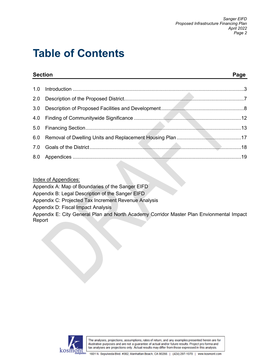## **Table of Contents**

| <b>Section</b> |                                                                                 | Page |  |  |
|----------------|---------------------------------------------------------------------------------|------|--|--|
|                |                                                                                 |      |  |  |
| 2.0            |                                                                                 |      |  |  |
|                |                                                                                 |      |  |  |
|                |                                                                                 |      |  |  |
|                |                                                                                 |      |  |  |
|                |                                                                                 |      |  |  |
|                |                                                                                 |      |  |  |
|                | the contract of the contract of the contract of the contract of the contract of |      |  |  |

Index of Appendices:

Appendix A: Map of Boundaries of the Sanger EIFD

Appendix B: Legal Description of the Sanger EIFD

Appendix C: Projected Tax Increment Revenue Analysis

Appendix D: Fiscal Impact Analysis

Appendix E: City General Plan and North Academy Corridor Master Plan Envionmental Impact Report

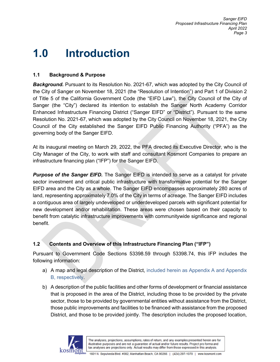### **1.0 Introduction**

### **1.1 Background & Purpose**

**Background.** Pursuant to its Resolution No. 2021-67, which was adopted by the City Council of the City of Sanger on November 18, 2021 (the "Resolution of Intention") and Part 1 of Division 2 of Title 5 of the California Government Code (the "EIFD Law"), the City Council of the City of Sanger (the "City") declared its intention to establish the Sanger North Academy Corridor Enhanced Infrastructure Financing District ("Sanger EIFD" or "District"). Pursuant to the same Resolution No. 2021-67, which was adopted by the City Council on November 18, 2021, the City Council of the City established the Sanger EIFD Public Financing Authority ("PFA") as the governing body of the Sanger EIFD.

At its inaugural meeting on March 29, 2022, the PFA directed its Executive Director, who is the City Manager of the City, to work with staff and consultant Kosmont Companies to prepare an infrastructure financing plan ("IFP") for the Sanger EIFD.

*Purpose of the Sanger EIFD.* The Sanger EIFD is intended to serve as a catalyst for private sector investment and critical public infrastructure with transformative potential for the Sanger EIFD area and the City as a whole. The Sanger EIFD encompasses approximately 280 acres of land, representing approximately 7.0% of the City in terms of acreage. The Sanger EIFD includes a contiguous area of largely undeveloped or underdeveloped parcels with significant potential for new development and/or rehabilitation. These areas were chosen based on their capacity to benefit from catalytic infrastructure improvements with communitywide significance and regional benefit.

### **1.2 Contents and Overview of this Infrastructure Financing Plan ("IFP")**

Pursuant to Government Code Sections 53398.59 through 53398.74, this IFP includes the following information:

- a) A map and legal description of the District, included herein as Appendix A and Appendix B, respectively.
- b) A description of the public facilities and other forms of development or financial assistance that is proposed in the area of the District, including those to be provided by the private sector, those to be provided by governmental entities without assistance from the District, those public improvements and facilities to be financed with assistance from the proposed District, and those to be provided jointly. The description includes the proposed location,

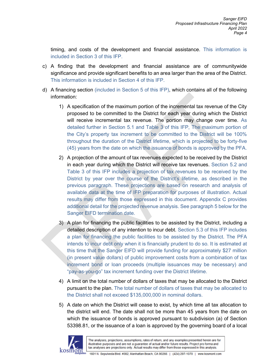timing, and costs of the development and financial assistance. This information is included in Section 3 of this IFP.

- c) A finding that the development and financial assistance are of communitywide significance and provide significant benefits to an area larger than the area of the District. This information is included in Section 4 of this IFP.
- d) A financing section (included in Section 5 of this IFP), which contains all of the following information:
	- 1) A specification of the maximum portion of the incremental tax revenue of the City proposed to be committed to the District for each year during which the District will receive incremental tax revenue. The portion may change over time. As detailed further in Section 5.1 and Table 3 of this IFP, The maximum portion of the City's property tax increment to be committed to the District will be 100% throughout the duration of the District lifetime, which is projected to be forty-five (45) years from the date on which the issuance of bonds is approved by the PFA.
	- 2) A projection of the amount of tax revenues expected to be received by the District in each year during which the District will receive tax revenues. Section 5.2 and Table 3 of this IFP includes a projection of tax revenues to be received by the District by year over the course of the District's lifetime, as described in the previous paragraph. These projections are based on research and analysis of available data at the time of IFP preparation for purposes of illustration. Actual results may differ from those expressed in this document. Appendix C provides additional detail for the projected revenue analysis. See paragraph 5 below for the Sanger EIFD termination date.
	- 3) A plan for financing the public facilities to be assisted by the District, including a detailed description of any intention to incur debt. Section 5.3 of this IFP includes a plan for financing the public facilities to be assisted by the District. The PFA intends to incur debt only when it is financially prudent to do so. It is estimated at this time that the Sanger EIFD will provide funding for approximately \$27 million (in present value dollars) of public improvement costs from a combination of tax increment bond or loan proceeds (multiple issuances may be necessary) and "pay-as-you-go" tax increment funding over the District lifetime.
	- 4) A limit on the total number of dollars of taxes that may be allocated to the District pursuant to the plan. The total number of dollars of taxes that may be allocated to the District shall not exceed \$135,000,000 in nominal dollars.
	- 5) A date on which the District will cease to exist, by which time all tax allocation to the district will end. The date shall not be more than 45 years from the date on which the issuance of bonds is approved pursuant to subdivision (a) of Section 53398.81, or the issuance of a loan is approved by the governing board of a local

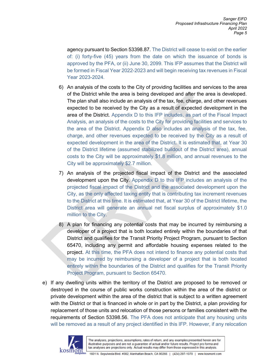agency pursuant to Section 53398.87. The District will cease to exist on the earlier of: (i) forty-five (45) years from the date on which the issuance of bonds is approved by the PFA, or (ii) June 30, 2099. This IFP assumes that the District will be formed in Fiscal Year 2022-2023 and will begin receiving tax revenues in Fiscal Year 2023-2024.

- 6) An analysis of the costs to the City of providing facilities and services to the area of the District while the area is being developed and after the area is developed. The plan shall also include an analysis of the tax, fee, charge, and other revenues expected to be received by the City as a result of expected development in the area of the District. Appendix D to this IFP includes, as part of the Fiscal Impact Analysis, an analysis of the costs to the City for providing facilities and services to the area of the District. Appendix D also includes an analysis of the tax, fee, charge, and other revenues expected to be received by the City as a result of expected development in the area of the District. It is estimated that, at Year 30 of the District lifetime (assumed stabilized buildout of the District area), annual costs to the City will be approximately \$1.8 million, and annual revenues to the City will be approximately \$2.7 million.
- 7) An analysis of the projected fiscal impact of the District and the associated development upon the City. Appendix D to this IFP includes an analysis of the projected fiscal impact of the District and the associated development upon the City, as the only affected taxing entity that is contributing tax increment revenues to the District at this time. It is estimated that, at Year 30 of the District lifetime, the District area will generate an annual net fiscal surplus of approximately \$1.0 million to the City.
- 8) A plan for financing any potential costs that may be incurred by reimbursing a developer of a project that is both located entirely within the boundaries of that District and qualifies for the Transit Priority Project Program, pursuant to Section 65470, including any permit and affordable housing expenses related to the project. At this time, the PFA does not intend to finance any potential costs that may be incurred by reimbursing a developer of a project that is both located entirely within the boundaries of the District and qualifies for the Transit Priority Project Program, pursuant to Section 65470.
- e) If any dwelling units within the territory of the District are proposed to be removed or destroyed in the course of public works construction within the area of the district or private development within the area of the district that is subject to a written agreement with the District or that is financed in whole or in part by the District, a plan providing for replacement of those units and relocation of those persons or families consistent with the requirements of Section 53398.56. The PFA does not anticipate that any housing units will be removed as a result of any project identified in this IFP. However, if any relocation

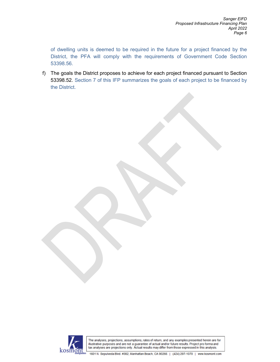of dwelling units is deemed to be required in the future for a project financed by the District, the PFA will comply with the requirements of Government Code Section 53398.56.

f) The goals the District proposes to achieve for each project financed pursuant to Section 53398.52. Section 7 of this IFP summarizes the goals of each project to be financed by the District.

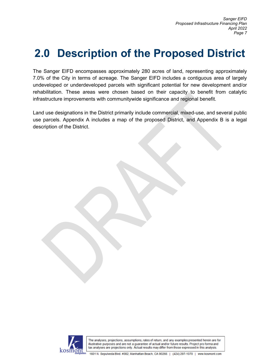# **2.0 Description of the Proposed District**

The Sanger EIFD encompasses approximately 280 acres of land, representing approximately 7.0% of the City in terms of acreage. The Sanger EIFD includes a contiguous area of largely undeveloped or underdeveloped parcels with significant potential for new development and/or rehabilitation. These areas were chosen based on their capacity to benefit from catalytic infrastructure improvements with communitywide significance and regional benefit.

Land use designations in the District primarily include commercial, mixed-use, and several public use parcels. Appendix A includes a map of the proposed District, and Appendix B is a legal description of the District.

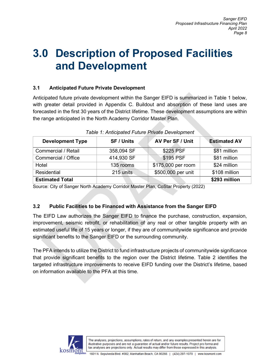### **3.0 Description of Proposed Facilities and Development**

### **3.1 Anticipated Future Private Development**

Anticipated future private development within the Sanger EIFD is summarized in Table 1 below, with greater detail provided in Appendix C. Buildout and absorption of these land uses are forecasted in the first 30 years of the District lifetime. These development assumptions are within the range anticipated in the North Academy Corridor Master Plan.

| <b>Development Type</b> | <b>SF / Units</b> | AV Per SF / Unit   | <b>Estimated AV</b> |
|-------------------------|-------------------|--------------------|---------------------|
| Commercial / Retail     | 358,094 SF        | \$225 PSF          | \$81 million        |
| Commercial / Office     | 414,930 SF        | \$195 PSF          | \$81 million        |
| Hotel                   | 135 rooms         | \$175,000 per room | \$24 million        |
| Residential             | 215 units         | \$500,000 per unit | \$108 million       |
| <b>Estimated Total</b>  |                   |                    | \$293 million       |

*Table 1: Anticipated Future Private Development*

Source: City of Sanger North Academy Corridor Master Plan, CoStar Property (2022)

#### **3.2 Public Facilities to be Financed with Assistance from the Sanger EIFD**

The EIFD Law authorizes the Sanger EIFD to finance the purchase, construction, expansion, improvement, seismic retrofit, or rehabilitation of any real or other tangible property with an estimated useful life of 15 years or longer, if they are of communitywide significance and provide significant benefits to the Sanger EIFD or the surrounding community.

The PFA intends to utilize the District to fund infrastructure projects of communitywide significance that provide significant benefits to the region over the District lifetime. Table 2 identifies the targeted infrastructure improvements to receive EIFD funding over the District's lifetime, based on information available to the PFA at this time.

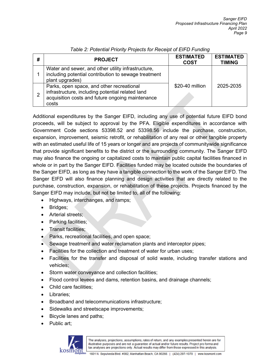| # | <b>PROJECT</b>                                                                                                                                             | <b>ESTIMATED</b><br><b>COST</b> | <b>ESTIMATED</b><br><b>TIMING</b> |
|---|------------------------------------------------------------------------------------------------------------------------------------------------------------|---------------------------------|-----------------------------------|
|   | Water and sewer, and other utility infrastructure,<br>including potential contribution to sewage treatment<br>plant upgrades)                              |                                 |                                   |
| 2 | Parks, open space, and other recreational<br>infrastructure, including potential related land<br>acquisition costs and future ongoing maintenance<br>costs | \$20-40 million                 | 2025-2035                         |

#### *Table 2: Potential Priority Projects for Receipt of EIFD Funding*

Additional expenditures by the Sanger EIFD, including any use of potential future EIFD bond proceeds, will be subject to approval by the PFA. Eligible expenditures in accordance with Government Code sections 53398.52 and 53398.56 include the purchase, construction, expansion, improvement, seismic retrofit, or rehabilitation of any real or other tangible property with an estimated useful life of 15 years or longer and are projects of communitywide significance that provide significant benefits to the district or the surrounding community. The Sanger EIFD may also finance the ongoing or capitalized costs to maintain public capital facilities financed in whole or in part by the Sanger EIFD. Facilities funded may be located outside the boundaries of the Sanger EIFD, as long as they have a tangible connection to the work of the Sanger EIFD. The Sanger EIFD will also finance planning and design activities that are directly related to the purchase, construction, expansion, or rehabilitation of these projects. Projects financed by the Sanger EIFD may include, but not be limited to, all of the following:

- Highways, interchanges, and ramps;
- Bridges;
- Arterial streets;
- Parking facilities;
- Transit facilities;
- Parks, recreational facilities, and open space;
- Sewage treatment and water reclamation plants and interceptor pipes;
- Facilities for the collection and treatment of water for urban uses;
- Facilities for the transfer and disposal of solid waste, including transfer stations and vehicles;
- Storm water conveyance and collection facilities;
- Flood control levees and dams, retention basins, and drainage channels;
- Child care facilities;
- Libraries;
- Broadband and telecommunications infrastructure;
- Sidewalks and streetscape improvements;
- Bicycle lanes and paths;
- Public art;

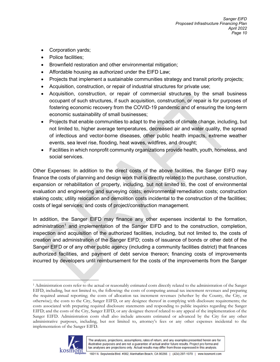- Corporation yards;
- Police facilities;
- Brownfield restoration and other environmental mitigation;
- Affordable housing as authorized under the EIFD Law;
- Projects that implement a sustainable communities strategy and transit priority projects;
- Acquisition, construction, or repair of industrial structures for private use;
- Acquisition, construction, or repair of commercial structures by the small business occupant of such structures, if such acquisition, construction, or repair is for purposes of fostering economic recovery from the COVID-19 pandemic and of ensuring the long-term economic sustainability of small businesses;
- Projects that enable communities to adapt to the impacts of climate change, including, but not limited to, higher average temperatures, decreased air and water quality, the spread of infectious and vector-borne diseases, other public health impacts, extreme weather events, sea level rise, flooding, heat waves, wildfires, and drought;
- Facilities in which nonprofit community organizations provide health, youth, homeless, and social services.

Other Expenses: In addition to the direct costs of the above facilities, the Sanger EIFD may finance the costs of planning and design work that is directly related to the purchase, construction, expansion or rehabilitation of property, including, but not limited to, the cost of environmental evaluation and engineering and surveying costs; environmental remediation costs; construction staking costs; utility relocation and demolition costs incidental to the construction of the facilities; costs of legal services; and costs of project/construction management.

In addition, the Sanger EIFD may finance any other expenses incidental to the formation, administration<sup>[1](#page-9-0)</sup> and implementation of the Sanger EIFD and to the construction, completion, inspection and acquisition of the authorized facilities, including, but not limited to, the costs of creation and administration of the Sanger EIFD; costs of issuance of bonds or other debt of the Sanger EIFD or of any other public agency (including a community facilities district) that finances authorized facilities, and payment of debt service thereon; financing costs of improvements incurred by developers until reimbursement for the costs of the improvements from the Sanger

<span id="page-9-0"></span><sup>1</sup> Administration costs refer to the actual or reasonably estimated costs directly related to the administration of the Sanger EIFD, including, but not limited to, the following: the costs of computing annual tax increment revenues and preparing the required annual reporting; the costs of allocation tax increment revenues (whether by the County, the City, or otherwise); the costs to the City, Sanger EIFD, or any designee thereof in complying with disclosure requirements; the costs associated with preparing required disclosure statements and responding to public inquiries regarding the Sanger EIFD; and the costs of the City, Sanger EIFD, or any designee thereof related to any appeal of the implementation of the Sanger EIFD. Administration costs shall also include amounts estimated or advanced by the City for any other administrative purposes, including, but not limited to, attorney's fees or any other expenses incidental to the implementation of the Sanger EIFD.

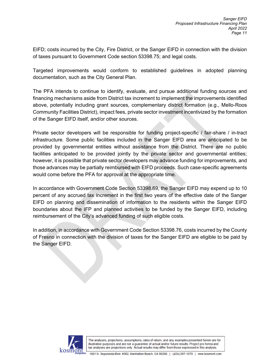EIFD; costs incurred by the City, Fire District, or the Sanger EIFD in connection with the division of taxes pursuant to Government Code section 53398.75; and legal costs.

Targeted improvements would conform to established guidelines in adopted planning documentation, such as the City General Plan.

The PFA intends to continue to identify, evaluate, and pursue additional funding sources and financing mechanisms aside from District tax increment to implement the improvements identified above, potentially including grant sources, complementary district formation (e.g., Mello-Roos Community Facilities District), impact fees, private sector investment incentivized by the formation of the Sanger EIFD itself, and/or other sources.

Private sector developers will be responsible for funding project-specific / fair-share / in-tract infrastructure. Some public facilities included in the Sanger EIFD area are anticipated to be provided by governmental entities without assistance from the District. There are no public facilities anticipated to be provided jointly by the private sector and governmental entities; however, it is possible that private sector developers may advance funding for improvements, and those advances may be partially reimbursed with EIFD proceeds. Such case-specific agreements would come before the PFA for approval at the appropriate time.

In accordance with Government Code Section 53398.69, the Sanger EIFD may expend up to 10 percent of any accrued tax increment in the first two years of the effective date of the Sanger EIFD on planning and dissemination of information to the residents within the Sanger EIFD boundaries about the IFP and planned activities to be funded by the Sanger EIFD, including reimbursement of the City's advanced funding of such eligible costs.

In addition, in accordance with Government Code Section 53398.76, costs incurred by the County of Fresno in connection with the division of taxes for the Sanger EIFD are eligible to be paid by the Sanger EIFD.

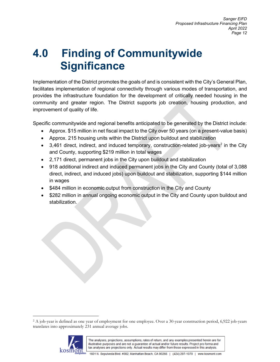# **4.0 Finding of Communitywide Significance**

Implementation of the District promotes the goals of and is consistent with the City's General Plan, facilitates implementation of regional connectivity through various modes of transportation, and provides the infrastructure foundation for the development of critically needed housing in the community and greater region. The District supports job creation, housing production, and improvement of quality of life.

Specific communitywide and regional benefits anticipated to be generated by the District include:

- Approx. \$15 million in net fiscal impact to the City over 50 years (on a present-value basis)
- Approx. 215 housing units within the District upon buildout and stabilization
- 3,461 direct, indirect, and induced temporary, construction-related job-years<sup>[2](#page-11-0)</sup> in the City and County, supporting \$219 million in total wages
- 2,171 direct, permanent jobs in the City upon buildout and stabilization
- 918 additional indirect and induced permanent jobs in the City and County (total of 3,088 direct, indirect, and induced jobs) upon buildout and stabilization, supporting \$144 million in wages
- \$484 million in economic output from construction in the City and County
- \$282 million in annual ongoing economic output in the City and County upon buildout and stabilization.

<span id="page-11-0"></span><sup>2</sup> A job-year is defined as one year of employment for one employee. Over a 30-year construction period, 6,922 job-years translates into approximately 231 annual average jobs.

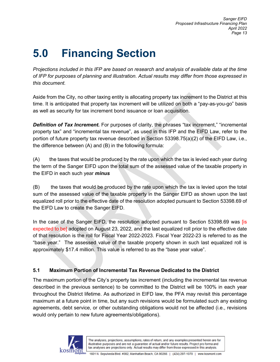# **5.0 Financing Section**

*Projections included in this IFP are based on research and analysis of available data at the time of IFP for purposes of planning and illustration. Actual results may differ from those expressed in this document.*

Aside from the City, no other taxing entity is allocating property tax increment to the District at this time. It is anticipated that property tax increment will be utilized on both a "pay-as-you-go" basis as well as security for tax increment bond issuance or loan acquisition.

**Definition of Tax Increment.** For purposes of clarity, the phrases "tax increment," "incremental property tax" and "incremental tax revenue", as used in this IFP and the EIFD Law, refer to the portion of future property tax revenue described in Section 53398.75(a)(2) of the EIFD Law, i.e., the difference between (A) and (B) in the following formula:

(A) the taxes that would be produced by the rate upon which the tax is levied each year during the term of the Sanger EIFD upon the total sum of the assessed value of the taxable property in the EIFD in each such year *minus*

(B) the taxes that would be produced by the rate upon which the tax is levied upon the total sum of the assessed value of the taxable property in the Sanger EIFD as shown upon the last equalized roll prior to the effective date of the resolution adopted pursuant to Section 53398.69 of the EIFD Law to create the Sanger EIFD.

In the case of the Sanger EIFD, the resolution adopted pursuant to Section 53398.69 was [is expected to be] adopted on August 23, 2022, and the last equalized roll prior to the effective date of that resolution is the roll for Fiscal Year 2022-2023. Fiscal Year 2022-23 is referred to as the "base year." The assessed value of the taxable property shown in such last equalized roll is approximately \$17.4 million. This value is referred to as the "base year value".

### **5.1 Maximum Portion of Incremental Tax Revenue Dedicated to the District**

The maximum portion of the City's property tax increment (including the incremental tax revenue described in the previous sentence) to be committed to the District will be 100% in each year throughout the District lifetime. As authorized in EIFD law, the PFA may revisit this percentage maximum at a future point in time, but any such revisions would be formulated such any existing agreements, debt service, or other outstanding obligations would not be affected (i.e., revisions would only pertain to new future agreements/obligations).

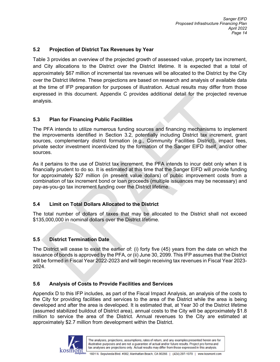#### **5.2 Projection of District Tax Revenues by Year**

Table 3 provides an overview of the projected growth of assessed value, property tax increment, and City allocations to the District over the District lifetime. It is expected that a total of approximately \$67 million of incremental tax revenues will be allocated to the District by the City over the District lifetime. These projections are based on research and analysis of available data at the time of IFP preparation for purposes of illustration. Actual results may differ from those expressed in this document. Appendix C provides additional detail for the projected revenue analysis.

#### **5.3 Plan for Financing Public Facilities**

The PFA intends to utilize numerous funding sources and financing mechanisms to implement the improvements identified in Section 3.2, potentially including District tax increment, grant sources, complementary district formation (e.g., Community Facilities District), impact fees, private sector investment incentivized by the formation of the Sanger EIFD itself, and/or other sources.

As it pertains to the use of District tax increment, the PFA intends to incur debt only when it is financially prudent to do so. It is estimated at this time that the Sanger EIFD will provide funding for approximately \$27 million (in present value dollars) of public improvement costs from a combination of tax increment bond or loan proceeds (multiple issuances may be necessary) and pay-as-you-go tax increment funding over the District lifetime.

#### **5.4 Limit on Total Dollars Allocated to the District**

The total number of dollars of taxes that may be allocated to the District shall not exceed \$135,000,000 in nominal dollars over the District lifetime.

#### **5.5 District Termination Date**

The District will cease to exist the earlier of: (i) forty five (45) years from the date on which the issuance of bonds is approved by the PFA, or (ii) June 30, 2099. This IFP assumes that the District will be formed in Fiscal Year 2022-2023 and will begin receiving tax revenues in Fiscal Year 2023- 2024.

#### **5.6 Analysis of Costs to Provide Facilities and Services**

Appendix D to this IFP includes, as part of the Fiscal Impact Analysis, an analysis of the costs to the City for providing facilities and services to the area of the District while the area is being developed and after the area is developed. It is estimated that, at Year 30 of the District lifetime (assumed stabilized buildout of District area), annual costs to the City will be approximately \$1.8 million to service the area of the District. Annual revenues to the City are estimated at approximately \$2.7 million from development within the District.

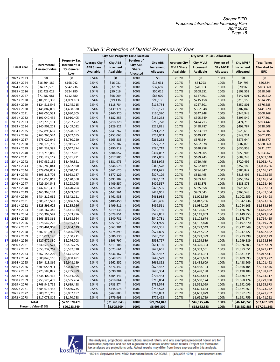|                |                    |                       |                     |                     | <b>City AB8 Property Tax Allocation</b> |            |              | <b>City MVLF In-Lieu Allocation</b> |                  |                  |                  |                     |
|----------------|--------------------|-----------------------|---------------------|---------------------|-----------------------------------------|------------|--------------|-------------------------------------|------------------|------------------|------------------|---------------------|
|                |                    |                       | <b>Property Tax</b> | <b>Average City</b> | City AB8                                | Portion of | City AB8     | <b>Average City</b>                 | <b>City MVLF</b> | Portion of       | <b>City MVLF</b> | <b>Total Taxes</b>  |
|                | <b>Fiscal Year</b> | Incremental           | Increment @         | <b>AB8 Share</b>    | Increment                               | City AB8   | Increment    | <b>MVLF Share</b>                   | <b>Increment</b> | <b>City MVLF</b> | Increment        | <b>Allocated to</b> |
|                |                    | <b>Assessed Value</b> | 1% General          | Available           | Available                               | Share      | Allocated    | <b>Available</b>                    | <b>Available</b> | <b>Allocated</b> | Allocated        | <b>EIFD</b>         |
|                |                    |                       | Levy                |                     |                                         | Allocated  |              |                                     |                  |                  |                  |                     |
| $\mathbf{0}$   | 2022 / 2023        | \$0                   | \$0                 | 9.54%               | \$0                                     | 100%       | \$0          | 20.7%                               | \$0              | 100%             | \$0              | \$0                 |
|                | 2023 / 2024        | \$16,804,189          | \$168,042           | 9.54%               | \$16,031                                | 100%       | \$16,031     | 20.7%                               | \$34,793         | 100%             | \$34,793         | \$50,824            |
| $\overline{2}$ | 2024 / 2025        | \$34,273,570          | \$342,736           | 9.54%               | \$32,697                                | 100%       | \$32,697     | 20.7%                               | \$70,963         | 100%             | \$70,963         | \$103,660           |
| 3              | 2025 / 2026        | \$52,428,029          | \$524,280           | 9.54%               | \$50,016                                | 100%       | \$50,016     | 20.7%                               | \$108,552        | 100%             | \$108,552        | \$158,568           |
| 4              | 2026 / 2027        | \$71,287,981          | \$712,880           | 9.54%               | \$68,009                                | 100%       | \$68,009     | 20.7%                               | \$147,601        | 100%             | \$147,601        | \$215,610           |
| 5              | 2027 / 2028        | \$103,916,338         | \$1,039,163         | 9.54%               | \$99,136                                | 100%       | \$99,136     | 20.7%                               | \$215,158        | 100%             | \$215,158        | \$314,295           |
| 6              | 2028 / 2029        | \$124,511,546         | \$1,245,115         | 9.54%               | \$118,784                               | 100%       | \$118,784    | 20.7%                               | \$257,801        | 100%             | \$257,801        | \$376,585           |
| 7              | 2029 / 2030        | \$145,882,019         | \$1,458,820         | 9.54%               | \$139,171                               | 100%       | \$139,171    | 20.7%                               | \$302,048        | 100%             | \$302,048        | \$441,220           |
| 8              | 2030 / 2031        | \$168,050,531         | \$1,680,505         | 9.54%               | \$160,320                               | 100%       | \$160,320    | 20.7%                               | \$347,948        | 100%             | \$347,948        | \$508,268           |
| 9              | 2031 / 2032        | \$191,040,455         | \$1,910,405         | 9.54%               | \$182,253                               | 100%       | \$182,253    | 20.7%                               | \$395,549        | 100%             | \$395,549        | \$577,801           |
| 10             | 2032 / 2033        | \$229,275,151         | \$2,292,752         | 9.54%               | \$218,728                               | 100%       | \$218,728    | 20.7%                               | \$474,713        | 100%             | \$474,713        | \$693,442           |
| 11             | 2033 / 2034        | \$240,902,211         | \$2,409,022         | 9.54%               | \$229,821                               | 100%       | \$229,821    | 20.7%                               | \$498,787        | 100%             | \$498,787        | \$728,608           |
| 12             | 2034 / 2035        | \$252,895,667         | \$2,528,957         | 9.54%               | \$241,262                               | 100%       | \$241,262    | 20.7%                               | \$523,619        | 100%             | \$523,619        | \$764,882           |
| 13             | 2035 / 2036        | \$265,265,524         | \$2,652,655         | 9.54%               | \$253,063                               | 100%       | \$253,063    | 20.7%                               | \$549,231        | 100%             | \$549,231        | \$802,295           |
| 14             | 2036 / 2037        | \$278,022,042         | \$2,780,220         | 9.54%               | \$265,233                               | 100%       | \$265,233    | 20.7%                               | \$575,644        | 100%             | \$575,644        | \$840,877           |
| 15             | 2037 / 2038        | \$291,175,739         | \$2,911,757         | 9.54%               | \$277,782                               | 100%       | \$277,782    | 20.7%                               | \$602,878        | 100%             | \$602,878        | \$880,660           |
| 16             | 2038 / 2039        | \$304,737,399         | \$3,047,374         | 9.54%               | \$290,719                               | 100%       | \$290,719    | 20.7%                               | \$630,958        | 100%             | \$630,958        | \$921,677           |
| 17             | 2039 / 2040        | \$318,718,080         | \$3,187,181         | 9.54%               | \$304,057                               | 100%       | \$304,057    | 20.7%                               | \$659,905        | 100%             | \$659,905        | \$963,962           |
| 18             | 2040 / 2041        | \$333,129,117         | \$3,331,291         | 9.54%               | \$317,805                               | 100%       | \$317,805    | 20.7%                               | \$689,743        | 100%             | \$689,743        | \$1,007,548         |
| 19             | 2041 / 2042        | \$347,982,132         | \$3,479,821         | 9.54%               | \$331,975                               | 100%       | \$331,975    | 20.7%                               | \$720,496        | 100%             | \$720,496        | \$1,052,471         |
| 20             | 2042 / 2043        | \$363,289,041         | \$3,632,890         | 9.54%               | \$346,578                               | 100%       | \$346,578    | 20.7%                               | \$752,189        | 100%             | \$752,189        | \$1,098,766         |
| 21             | 2043 / 2044        | \$379,062,057         | \$3,790,621         | 9.54%               | \$361,625                               | 100%       | \$361,625    | 20.7%                               | \$784,847        | 100%             | \$784,847        | \$1,146,472         |
| 22             | 2044 / 2045        | \$395,313,703         | \$3,953,137         | 9.54%               | \$377,129                               | 100%       | \$377,129    | 20.7%                               | \$818,495        | 100%             | \$818,495        | \$1,195,625         |
| 23             | 2045 / 2046        | \$412,056,813         | \$4,120,568         | 9.54%               | \$393,102                               | 100%       | \$393,102    | 20.7%                               | \$853,162        | 100%             | \$853,162        | \$1,246,264         |
| 24             | 2046 / 2047        | \$429,304,548         | \$4,293,045         | 9.54%               | \$409,557                               | 100%       | \$409,557    | 20.7%                               | \$888,873        | 100%             | \$888,873        | \$1,298,430         |
| 25             | 2047 / 2048        | \$447,070,393         | \$4,470,704         | 9.54%               | \$426,505                               | 100%       | \$426,505    | 20.7%                               | \$925,658        | 100%             | \$925,658        | \$1,352,163         |
| 26             | 2048 / 2049        | \$465,368,174         | \$4,653,682         | 9.54%               | \$443,961                               | 100%       | \$443,961    | 20.7%                               | \$963,543        | 100%             | \$963,543        | \$1,407,504         |
| 27             | 2049 / 2050        | \$484,212,062         | \$4,842,121         | 9.54%               | \$461,938                               | 100%       | \$461,938    | 20.7%                               | \$1,002,559      | 100%             | \$1,002,559      | \$1,464,498         |
| 28             | 2050 / 2051        | \$503,616,583         | \$5,036,166         | 9.54%               | \$480,450                               | 100%       | \$480,450    | 20.7%                               | \$1,042,736      | 100%             | \$1,042,736      | \$1,523,186         |
| 29             | 2051 / 2052        | \$523,596,625         | \$5,235,966         | 9.54%               | \$499,511                               | 100%       | \$499,511    | 20.7%                               | \$1,084,105      | 100%             | \$1,084,105      | \$1,583,616         |
| 30             | 2052 / 2053        | \$544,167,445         | \$5,441,674         | 9.54%               | \$519,136                               | 100%       | \$519,136    | 20.7%                               | \$1,126,697      | 100%             | \$1,126,697      | \$1,645,832         |
| 31             | 2053 / 2054        | \$555,399,582         | \$5,553,996         | 9.54%               | \$529,851                               | 100%       | \$529,851    | 20.7%                               | \$1,149,953      | 100%             | \$1,149,953      | \$1,679,804         |
| 32             | 2054 / 2055        | \$566,856,361         | \$5,668,564         | 9.54%               | \$540,781                               | 100%       | \$540,781    | 20.7%                               | \$1,173,674      | 100%             | \$1,173,674      | \$1,714,455         |
| 33             | 2055 / 2056        | \$578,542,276         | \$5,785,423         | 9.54%               | \$551,929                               | 100%       | \$551,929    | 20.7%                               | \$1,197,870      | 100%             | \$1,197,870      | \$1,749,799         |
| 34             | 2056 / 2057        | \$590,461,909         | \$5,904,619         | 9.54%               | \$563,301                               | 100%       | \$563,301    | 20.7%                               | \$1,222,549      | 100%             | \$1,222,549      | \$1,785,850         |
| 35             | 2057 / 2058        | \$602,619,934         | \$6,026,199         | 9.54%               | \$574,899                               | 100%       | \$574,899    | 20.7%                               | \$1,247,722      | 100%             | \$1,247,722      | \$1,822,622         |
| 36             | 2058 / 2059        | \$615,021,120         | \$6,150,211         | 9.54%               | \$586,730                               | 100%       | \$586,730    | 20.7%                               | \$1,273,399      | 100%             | \$1,273,399      | \$1,860,129         |
| 37             | 2059 / 2060        | \$627,670,330         | \$6,276,703         | 9.54%               | \$598,797                               | 100%       | \$598,797    | 20.7%                               | \$1,299,589      | 100%             | \$1,299,589      | \$1,898,386         |
| 38             | 2060 / 2061        | \$640,572,524         | \$6,405,725         | 9.54%               | \$611,106                               | 100%       | \$611,106    | 20.7%                               | \$1,326,303      | 100%             | \$1,326,303      | \$1,937,409         |
| 39             | 2061 / 2062        | \$653,732,762         | \$6,537,328         | 9.54%               | \$623,661                               | 100%       | \$623,661    | 20.7%                               | \$1,353,551      | 100%             | \$1,353,551      | \$1,977,212         |
| 40             | 2062 / 2063        | \$667,156,205         | \$6,671,562         | 9.54%               | \$636,467                               | 100%       | \$636,467    | 20.7%                               | \$1,381,344      | 100%             | \$1,381,344      | \$2,017,811         |
| 41             | 2063 / 2064        | \$680,848,116         | \$6,808,481         | 9.54%               | \$649,529                               | 100%       | \$649,529    | 20.7%                               | \$1,409,693      | 100%             | \$1,409,693      | \$2,059,222         |
| 42             | 2064 / 2065        | \$694,813,866         | \$6,948,139         | 9.54%               | \$662,852                               | 100%       | \$662,852    | 20.7%                               | \$1,438,609      | 100%             | \$1,438,609      | \$2,101,462         |
| 43             | 2065 / 2066        | \$709,058,931         | \$7,090,589         | 9.54%               | \$676,442                               | 100%       | \$676,442    | 20.7%                               | \$1,468,104      | 100%             | \$1,468,104      | \$2,144,546         |
| 44             | 2066 / 2067        | \$723,588,897         | \$7,235,889         | 9.54%               | \$690,304                               | 100%       | \$690,304    | 20.7%                               | \$1,498,188      | 100%             | \$1,498,188      | \$2,188,492         |
| 45             | 2067 / 2068        | \$738,409,462         | \$7,384,095         | 9.54%               | \$704,443                               | 100%       | \$704,443    | 20.7%                               | \$1,528,874      | 100%             | \$1,528,874      | \$2,233,317         |
| 46             | 2068 / 2069        | \$753,526,439         | \$7,535,264         | 9.54%               | \$718,864                               | 100%       | \$718,864    | 20.7%                               | \$1,560,174      | 100%             | \$1,560,174      | \$2,279,038         |
| 47             | 2069 / 2070        | \$768,945,755         | \$7,689,458         | 9.54%               | \$733,574                               | 100%       | \$733,574    | 20.7%                               | \$1,592,099      | 100%             | \$1,592,099      | \$2,325,673         |
| 48             | 2070 / 2071        | \$784,673,458         | \$7,846,735         | 9.54%               | \$748,578                               | 100%       | \$748,578    | 20.7%                               | \$1,624,663      | 100%             | \$1,624,663      | \$2,373,242         |
| 49             | 2071 / 2072        | \$800,715,715         | \$8,007,157         | 9.54%               | \$763,883                               | 100%       | \$763,883    | 20.7%                               | \$1,657,879      | 100%             | \$1,657,879      | \$2,421,762         |
| 50             | 2072 / 2073        | \$817,078,816         | \$8,170,788         | 9.54%               | \$779,493                               | 100%       | \$779,493    | 20.7%                               | \$1,691,759      | 100%             | \$1,691,759      | \$2,471,252         |
|                |                    | Total                 | \$222,870,476       |                     | \$21,261,843                            | 100%       | \$21,261,843 |                                     | \$46,145,246     | 100%             | \$46,145,246     | \$67,407,089        |
|                |                    | Present Value @ 3%    | \$90,233,849        |                     | \$8,608,309                             | 100%       | \$8,608,309  |                                     | \$18,682,883     | 100%             | \$18,682,883     | \$27,291,193        |

#### *Table 3: Projection of District Revenues by Year*

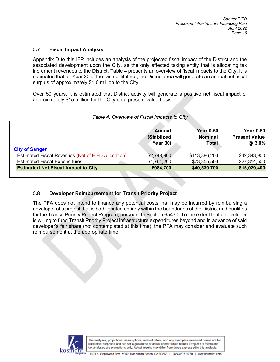#### **5.7 Fiscal Impact Analysis**

Appendix D to this IFP includes an analysis of the projected fiscal impact of the District and the associated development upon the City, as the only affected taxing entity that is allocating tax increment revenues to the District. Table 4 presents an overview of fiscal impacts to the City. It is estimated that, at Year 30 of the District lifetime, the District area will generate an annual net fiscal surplus of approximately \$1.0 million to the City.

Over 50 years, it is estimated that District activity will generate a positive net fiscal impact of approximately \$15 million for the City on a present-value basis.

|                                                    | Annual<br>(Stablized)<br>Year $30$ | <b>Year 0-50</b><br>Nominal<br>Total | <b>Year 0-50</b><br><b>Present Value</b><br>@ 3.0% |
|----------------------------------------------------|------------------------------------|--------------------------------------|----------------------------------------------------|
| <b>City of Sanger</b>                              |                                    |                                      |                                                    |
| Estimated Fiscal Revenues (Net of EIFD Allocation) | \$2,748,900                        | \$113,886,200                        | \$42,343,900                                       |
| <b>Estimated Fiscal Expenditures</b>               | \$1,764,200                        | \$73,355,500                         | \$27,314,500                                       |
| <b>Estimated Net Fiscal Impact to City</b>         | \$984,700                          | \$40,530,700                         | \$15,029,400                                       |
|                                                    |                                    |                                      |                                                    |

#### *Table 4: Overview of Fiscal Impacts to City*

#### **5.8 Developer Reimbursement for Transit Priority Project**

The PFA does not intend to finance any potential costs that may be incurred by reimbursing a developer of a project that is both located entirely within the boundaries of the District and qualifies for the Transit Priority Project Program, pursuant to Section 65470. To the extent that a developer is willing to fund Transit Priority Project infrastructure expenditures beyond and in advance of said developer's fair share (not contemplated at this time), the PFA may consider and evaluate such reimbursement at the appropriate time.

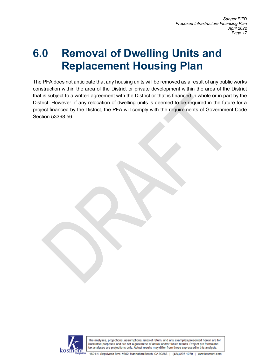### **6.0 Removal of Dwelling Units and Replacement Housing Plan**

The PFA does not anticipate that any housing units will be removed as a result of any public works construction within the area of the District or private development within the area of the District that is subject to a written agreement with the District or that is financed in whole or in part by the District. However, if any relocation of dwelling units is deemed to be required in the future for a project financed by the District, the PFA will comply with the requirements of Government Code Section 53398.56.

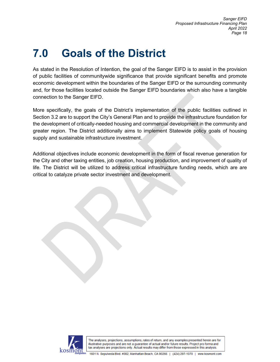## **7.0 Goals of the District**

As stated in the Resolution of Intention, the goal of the Sanger EIFD is to assist in the provision of public facilities of communitywide significance that provide significant benefits and promote economic development within the boundaries of the Sanger EIFD or the surrounding community and, for those facilities located outside the Sanger EIFD boundaries which also have a tangible connection to the Sanger EIFD.

More specifically, the goals of the District's implementation of the public facilities outlined in Section 3.2 are to support the City's General Plan and to provide the infrastructure foundation for the development of critically-needed housing and commercial development in the community and greater region. The District additionally aims to implement Statewide policy goals of housing supply and sustainable infrastructure investment.

Additional objectives include economic development in the form of fiscal revenue generation for the City and other taxing entities, job creation, housing production, and improvement of quality of life. The District will be utilized to address critical infrastructure funding needs, which are are critical to catalyze private sector investment and development.